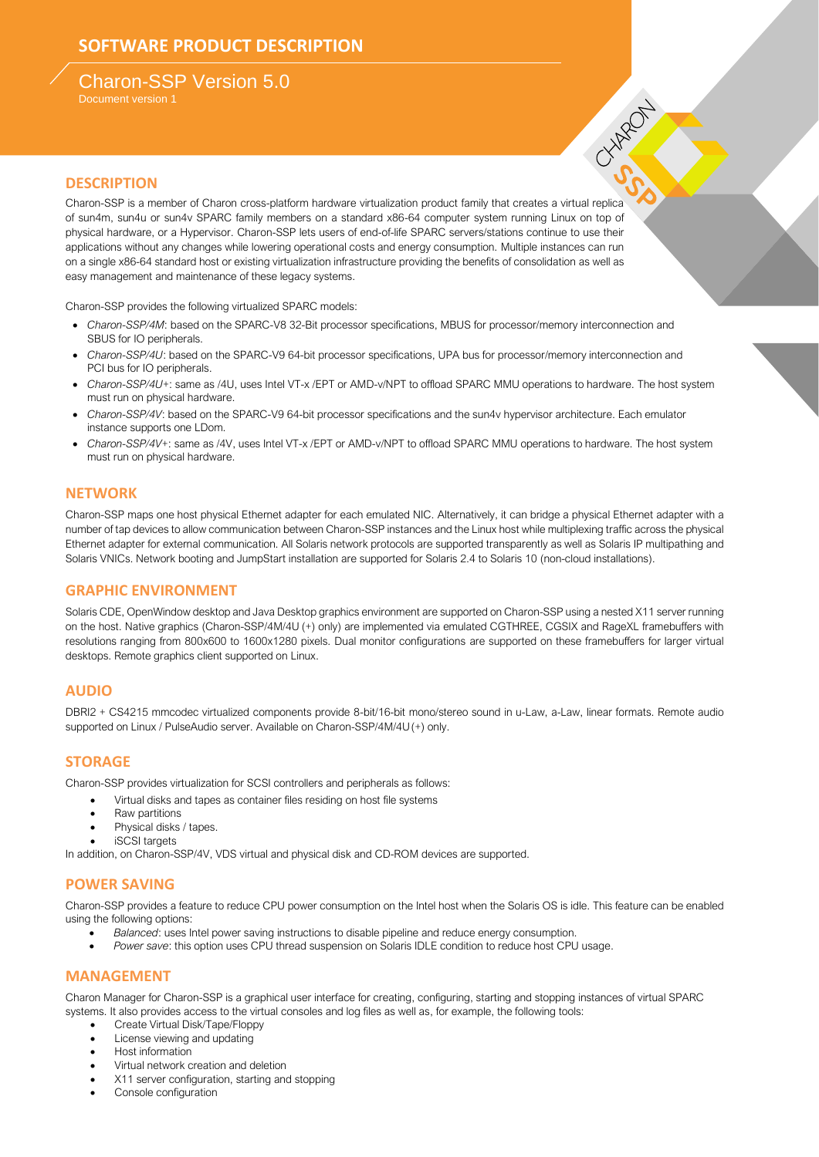# Charon-SSP Version 5.0

Document version 1

### **DESCRIPTION**

Charon-SSP is a member of Charon cross-platform hardware virtualization product family that creates a virtual replica of sun4m, sun4u or sun4v SPARC family members on a standard x86-64 computer system running Linux on top of physical hardware, or a Hypervisor. Charon-SSP lets users of end-of-life SPARC servers/stations continue to use their applications without any changes while lowering operational costs and energy consumption. Multiple instances can run on a single x86-64 standard host or existing virtualization infrastructure providing the benefits of consolidation as well as easy management and maintenance of these legacy systems.

Charon-SSP provides the following virtualized SPARC models:

- *Charon-SSP/4M*: based on the SPARC-V8 32-Bit processor specifications, MBUS for processor/memory interconnection and SBUS for IO peripherals.
- *Charon-SSP/4U*: based on the SPARC-V9 64-bit processor specifications, UPA bus for processor/memory interconnection and PCI bus for IO peripherals.
- *Charon-SSP/4U+*: same as /4U, uses Intel VT-x /EPT or AMD-v/NPT to offload SPARC MMU operations to hardware. The host system must run on physical hardware.

**SIMPLE** 

- *Charon-SSP/4V*: based on the SPARC-V9 64-bit processor specifications and the sun4v hypervisor architecture. Each emulator instance supports one LDom.
- *Charon-SSP/4V+*: same as /4V, uses Intel VT-x /EPT or AMD-v/NPT to offload SPARC MMU operations to hardware. The host system must run on physical hardware.

#### **NETWORK**

Charon-SSP maps one host physical Ethernet adapter for each emulated NIC. Alternatively, it can bridge a physical Ethernet adapter with a number of tap devices to allow communication between Charon-SSP instances and the Linux host while multiplexing traffic across the physical Ethernet adapter for external communication. All Solaris network protocols are supported transparently as well as Solaris IP multipathing and Solaris VNICs. Network booting and JumpStart installation are supported for Solaris 2.4 to Solaris 10 (non-cloud installations).

#### **GRAPHIC ENVIRONMENT**

Solaris CDE, OpenWindow desktop and Java Desktop graphics environment are supported on Charon-SSP using a nested X11 server running on the host. Native graphics (Charon-SSP/4M/4U (+) only) are implemented via emulated CGTHREE, CGSIX and RageXL framebuffers with resolutions ranging from 800x600 to 1600x1280 pixels. Dual monitor configurations are supported on these framebuffers for larger virtual desktops. Remote graphics client supported on Linux.

#### **AUDIO**

DBRI2 + CS4215 mmcodec virtualized components provide 8-bit/16-bit mono/stereo sound in u-Law, a-Law, linear formats. Remote audio supported on Linux / PulseAudio server. Available on Charon-SSP/4M/4U(+) only.

#### **STORAGE**

Charon-SSP provides virtualization for SCSI controllers and peripherals as follows:

- Virtual disks and tapes as container files residing on host file systems
- Raw partitions
- Physical disks / tapes.
- iSCSI targets

In addition, on Charon-SSP/4V, VDS virtual and physical disk and CD-ROM devices are supported.

### **POWER SAVING**

Charon-SSP provides a feature to reduce CPU power consumption on the Intel host when the Solaris OS is idle. This feature can be enabled using the following options:

- *Balanced*: uses Intel power saving instructions to disable pipeline and reduce energy consumption.
- *Power save*: this option uses CPU thread suspension on Solaris IDLE condition to reduce host CPU usage.

#### **MANAGEMENT**

Charon Manager for Charon-SSP is a graphical user interface for creating, configuring, starting and stopping instances of virtual SPARC systems. It also provides access to the virtual consoles and log files as well as, for example, the following tools:

- Create Virtual Disk/Tape/Floppy
- License viewing and updating
- Host information
- Virtual network creation and deletion
- X11 server configuration, starting and stopping
- Console configuration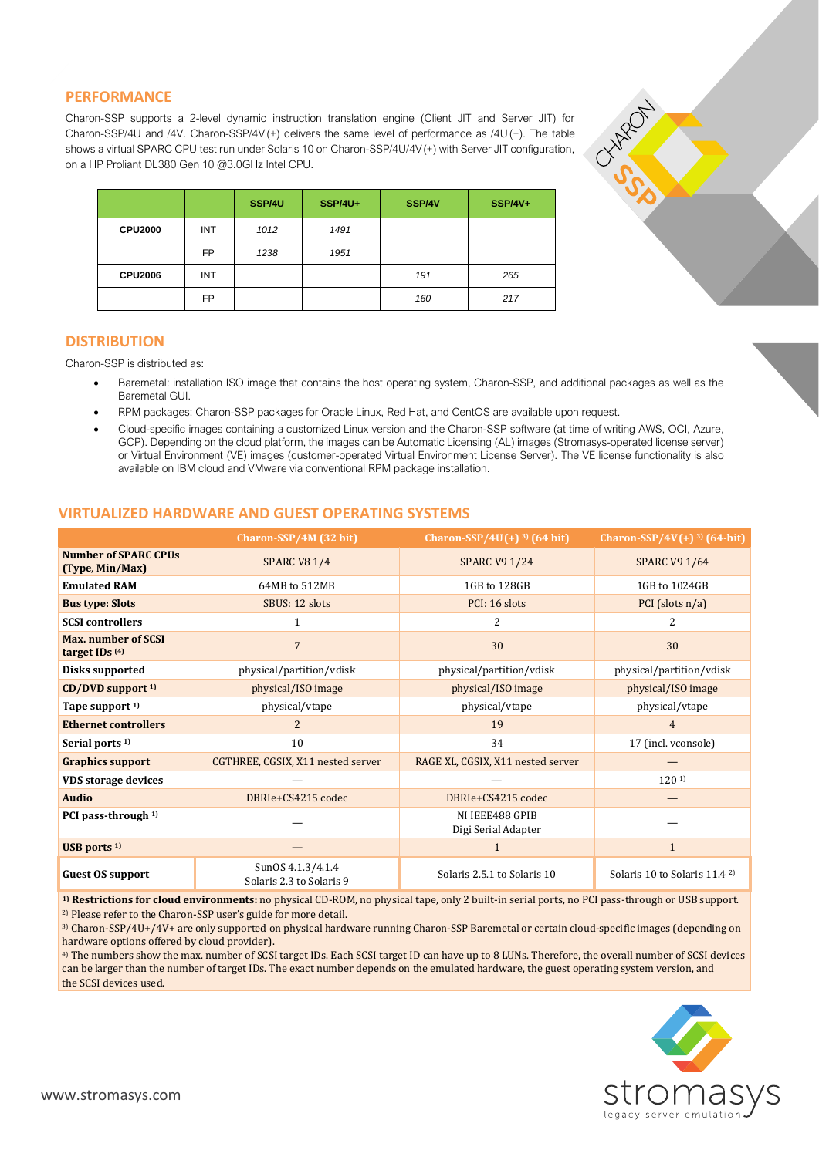### **PERFORMANCE**

Charon-SSP supports a 2-level dynamic instruction translation engine (Client JIT and Server JIT) for Charon-SSP/4U and /4V. Charon-SSP/4V(+) delivers the same level of performance as /4U(+). The table shows a virtual SPARC CPU test run under Solaris 10 on Charon-SSP/4U/4V(+) with Server JIT configuration, on a HP Proliant DL380 Gen 10 @3.0GHz Intel CPU.

|                |           | SSP/4U | <b>SSP/4U+</b> | SSP/4V | <b>SSP/4V+</b> |
|----------------|-----------|--------|----------------|--------|----------------|
| <b>CPU2000</b> | INT       | 1012   | 1491           |        |                |
|                | <b>FP</b> | 1238   | 1951           |        |                |
| <b>CPU2006</b> | INT       |        |                | 191    | 265            |
|                | <b>FP</b> |        |                | 160    | 217            |

#### **DISTRIBUTION**

Charon-SSP is distributed as:

- Baremetal: installation ISO image that contains the host operating system, Charon-SSP, and additional packages as well as the Baremetal GUI.
- RPM packages: Charon-SSP packages for Oracle Linux, Red Hat, and CentOS are available upon request.
- Cloud-specific images containing a customized Linux version and the Charon-SSP software (at time of writing AWS, OCI, Azure, GCP). Depending on the cloud platform, the images can be Automatic Licensing (AL) images (Stromasys-operated license server) or Virtual Environment (VE) images (customer-operated Virtual Environment License Server). The VE license functionality is also available on IBM cloud and VMware via conventional RPM package installation.

### **VIRTUALIZED HARDWARE AND GUEST OPERATING SYSTEMS**

|                                                         | Charon-SSP/4M (32 bit)                        | Charon-SSP/4U(+) $^{3}$ ) (64 bit)     | Charon-SSP/4V $(+)$ <sup>3)</sup> (64-bit) |  |
|---------------------------------------------------------|-----------------------------------------------|----------------------------------------|--------------------------------------------|--|
| <b>Number of SPARC CPUs</b><br>(Type, Min/Max)          | <b>SPARC V8 1/4</b>                           | <b>SPARC V9 1/24</b>                   | <b>SPARC V9 1/64</b>                       |  |
| <b>Emulated RAM</b>                                     | 64MB to 512MB                                 | 1GB to 128GB                           | 1GB to 1024GB                              |  |
| <b>Bus type: Slots</b>                                  | SBUS: 12 slots                                | PCI: 16 slots                          | PCI (slots $n/a$ )                         |  |
| <b>SCSI</b> controllers                                 |                                               | 2                                      | 2                                          |  |
| <b>Max.</b> number of SCSI<br>target IDs <sup>(4)</sup> | $\overline{7}$                                | 30                                     | 30                                         |  |
| Disks supported                                         | physical/partition/vdisk                      | physical/partition/vdisk               | physical/partition/vdisk                   |  |
| $CD/DVD$ support $1$ )                                  | physical/ISO image                            | physical/ISO image                     | physical/ISO image                         |  |
| Tape support <sup>1)</sup>                              | physical/vtape                                | physical/vtape                         | physical/vtape                             |  |
| <b>Ethernet controllers</b>                             | $\overline{2}$                                | 19                                     | $\overline{4}$                             |  |
| Serial ports <sup>1)</sup>                              | 10                                            | 34                                     | 17 (incl. vconsole)                        |  |
| <b>Graphics support</b>                                 | CGTHREE, CGSIX, X11 nested server             | RAGE XL, CGSIX, X11 nested server      |                                            |  |
| <b>VDS</b> storage devices                              |                                               |                                        | 120 <sup>1</sup>                           |  |
| <b>Audio</b>                                            | DBRIe+CS4215 codec                            | DBRIe+CS4215 codec                     |                                            |  |
| PCI pass-through <sup>1)</sup>                          |                                               | NI IEEE488 GPIB<br>Digi Serial Adapter |                                            |  |
| USB ports $1$                                           |                                               |                                        | $\mathbf{1}$                               |  |
| <b>Guest OS support</b>                                 | SunOS 4.1.3/4.1.4<br>Solaris 2.3 to Solaris 9 | Solaris 2.5.1 to Solaris 10            | Solaris 10 to Solaris 11.4 <sup>2</sup>    |  |

**1) Restrictions for cloud environments:** no physical CD-ROM, no physical tape, only 2 built-in serial ports, no PCI pass-through or USB support. 2) Please refer to the Charon-SSP user's guide for more detail.

3) Charon-SSP/4U+/4V+ are only supported on physical hardware running Charon-SSP Baremetal or certain cloud-specific images (depending on hardware options offered by cloud provider).

4) The numbers show the max. number of SCSI target IDs. Each SCSI target ID can have up to 8 LUNs. Therefore, the overall number of SCSI devices can be larger than the number of target IDs. The exact number depends on the emulated hardware, the guest operating system version, and the SCSI devices used.



**DAMO**